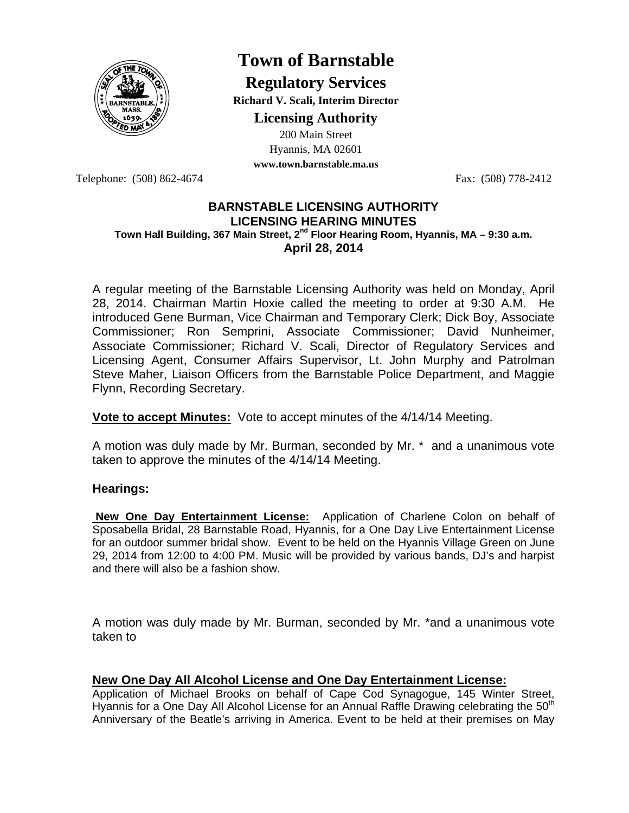

# **Town of Barnstable**

**Regulatory Services Richard V. Scali, Interim Director** 

**Licensing Authority**

200 Main Street Hyannis, MA 02601 **www.town.barnstable.ma.us**

Telephone: (508) 862-4674 Fax: (508) 778-2412

#### **BARNSTABLE LICENSING AUTHORITY LICENSING HEARING MINUTES Town Hall Building, 367 Main Street, 2nd Floor Hearing Room, Hyannis, MA – 9:30 a.m. April 28, 2014**

A regular meeting of the Barnstable Licensing Authority was held on Monday, April 28, 2014. Chairman Martin Hoxie called the meeting to order at 9:30 A.M. He introduced Gene Burman, Vice Chairman and Temporary Clerk; Dick Boy, Associate Commissioner; Ron Semprini, Associate Commissioner; David Nunheimer, Associate Commissioner; Richard V. Scali, Director of Regulatory Services and Licensing Agent, Consumer Affairs Supervisor, Lt. John Murphy and Patrolman Steve Maher, Liaison Officers from the Barnstable Police Department, and Maggie Flynn, Recording Secretary.

**Vote to accept Minutes:** Vote to accept minutes of the 4/14/14 Meeting.

A motion was duly made by Mr. Burman, seconded by Mr. \* and a unanimous vote taken to approve the minutes of the 4/14/14 Meeting.

# **Hearings:**

 **New One Day Entertainment License:** Application of Charlene Colon on behalf of Sposabella Bridal, 28 Barnstable Road, Hyannis, for a One Day Live Entertainment License for an outdoor summer bridal show. Event to be held on the Hyannis Village Green on June 29, 2014 from 12:00 to 4:00 PM. Music will be provided by various bands, DJ's and harpist and there will also be a fashion show.

A motion was duly made by Mr. Burman, seconded by Mr. \*and a unanimous vote taken to

# **New One Day All Alcohol License and One Day Entertainment License:**

Application of Michael Brooks on behalf of Cape Cod Synagogue, 145 Winter Street, Hyannis for a One Day All Alcohol License for an Annual Raffle Drawing celebrating the 50<sup>th</sup> Anniversary of the Beatle's arriving in America. Event to be held at their premises on May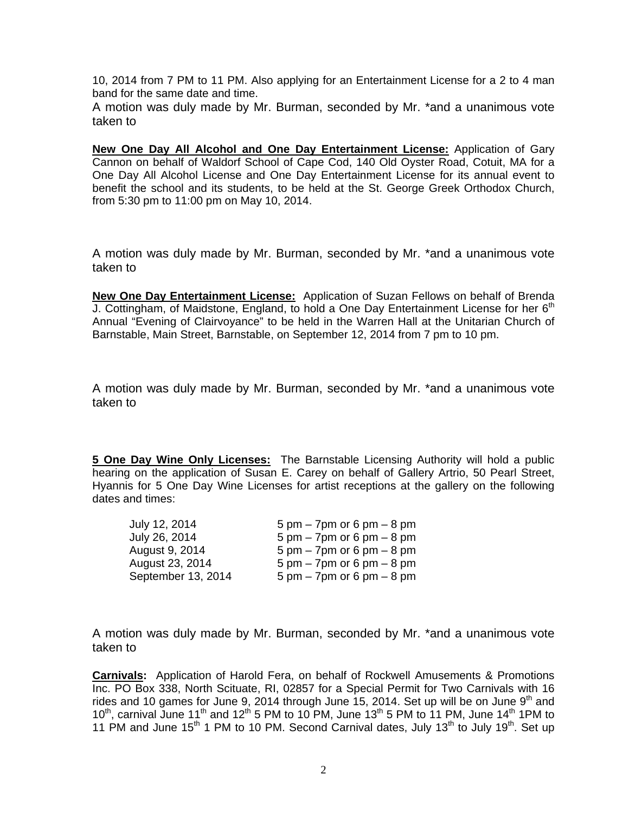10, 2014 from 7 PM to 11 PM. Also applying for an Entertainment License for a 2 to 4 man band for the same date and time.

A motion was duly made by Mr. Burman, seconded by Mr. \*and a unanimous vote taken to

**New One Day All Alcohol and One Day Entertainment License:** Application of Gary Cannon on behalf of Waldorf School of Cape Cod, 140 Old Oyster Road, Cotuit, MA for a One Day All Alcohol License and One Day Entertainment License for its annual event to benefit the school and its students, to be held at the St. George Greek Orthodox Church, from 5:30 pm to 11:00 pm on May 10, 2014.

A motion was duly made by Mr. Burman, seconded by Mr. \*and a unanimous vote taken to

**New One Day Entertainment License:** Application of Suzan Fellows on behalf of Brenda J. Cottingham, of Maidstone, England, to hold a One Day Entertainment License for her  $6<sup>th</sup>$ Annual "Evening of Clairvoyance" to be held in the Warren Hall at the Unitarian Church of Barnstable, Main Street, Barnstable, on September 12, 2014 from 7 pm to 10 pm.

A motion was duly made by Mr. Burman, seconded by Mr. \*and a unanimous vote taken to

**5 One Day Wine Only Licenses:** The Barnstable Licensing Authority will hold a public hearing on the application of Susan E. Carey on behalf of Gallery Artrio, 50 Pearl Street, Hyannis for 5 One Day Wine Licenses for artist receptions at the gallery on the following dates and times:

| July 12, 2014      | $5 \text{ pm} - 7 \text{ pm}$ or $6 \text{ pm} - 8 \text{ pm}$ |
|--------------------|----------------------------------------------------------------|
| July 26, 2014      | $5 \text{ pm} - 7 \text{ pm}$ or 6 pm $- 8 \text{ pm}$         |
| August 9, 2014     | $5 \text{ pm} - 7 \text{ pm}$ or 6 pm $- 8 \text{ pm}$         |
| August 23, 2014    | $5 \text{ pm} - 7 \text{ pm}$ or 6 pm $- 8 \text{ pm}$         |
| September 13, 2014 | $5 \text{ pm} - 7 \text{pm or } 6 \text{ pm} - 8 \text{ pm}$   |

A motion was duly made by Mr. Burman, seconded by Mr. \*and a unanimous vote taken to

**Carnivals:** Application of Harold Fera, on behalf of Rockwell Amusements & Promotions Inc. PO Box 338, North Scituate, RI, 02857 for a Special Permit for Two Carnivals with 16 rides and 10 games for June 9, 2014 through June 15, 2014. Set up will be on June  $9<sup>th</sup>$  and 10<sup>th</sup>, carnival June 11<sup>th</sup> and 12<sup>th</sup> 5 PM to 10 PM, June 13<sup>th</sup> 5 PM to 11 PM, June 14<sup>th</sup> 1PM to 11 PM and June 15<sup>th</sup> 1 PM to 10 PM. Second Carnival dates, July 13<sup>th</sup> to July 19<sup>th</sup>. Set up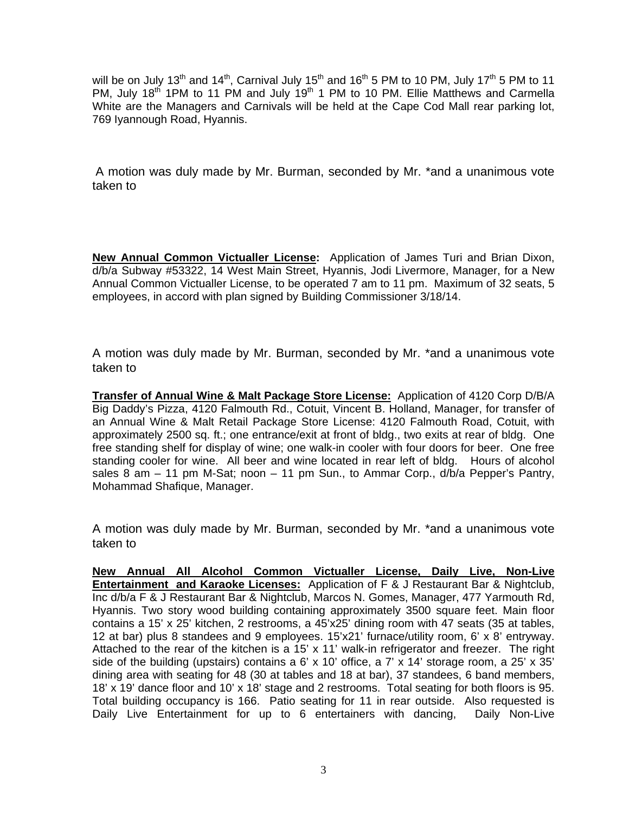will be on July 13<sup>th</sup> and 14<sup>th</sup>, Carnival July 15<sup>th</sup> and 16<sup>th</sup> 5 PM to 10 PM, July 17<sup>th</sup> 5 PM to 11 PM, July 18th 1PM to 11 PM and July 19th 1 PM to 10 PM. Ellie Matthews and Carmella White are the Managers and Carnivals will be held at the Cape Cod Mall rear parking lot, 769 Iyannough Road, Hyannis.

A motion was duly made by Mr. Burman, seconded by Mr. \*and a unanimous vote taken to

**New Annual Common Victualler License:** Application of James Turi and Brian Dixon, d/b/a Subway #53322, 14 West Main Street, Hyannis, Jodi Livermore, Manager, for a New Annual Common Victualler License, to be operated 7 am to 11 pm. Maximum of 32 seats, 5 employees, in accord with plan signed by Building Commissioner 3/18/14.

A motion was duly made by Mr. Burman, seconded by Mr. \*and a unanimous vote taken to

**Transfer of Annual Wine & Malt Package Store License:** Application of 4120 Corp D/B/A Big Daddy's Pizza, 4120 Falmouth Rd., Cotuit, Vincent B. Holland, Manager, for transfer of an Annual Wine & Malt Retail Package Store License: 4120 Falmouth Road, Cotuit, with approximately 2500 sq. ft.; one entrance/exit at front of bldg., two exits at rear of bldg. One free standing shelf for display of wine; one walk-in cooler with four doors for beer. One free standing cooler for wine. All beer and wine located in rear left of bldg. Hours of alcohol sales 8 am – 11 pm M-Sat; noon – 11 pm Sun., to Ammar Corp., d/b/a Pepper's Pantry, Mohammad Shafique, Manager.

A motion was duly made by Mr. Burman, seconded by Mr. \*and a unanimous vote taken to

**New Annual All Alcohol Common Victualler License, Daily Live, Non-Live Entertainment and Karaoke Licenses:** Application of F & J Restaurant Bar & Nightclub, Inc d/b/a F & J Restaurant Bar & Nightclub, Marcos N. Gomes, Manager, 477 Yarmouth Rd, Hyannis. Two story wood building containing approximately 3500 square feet. Main floor contains a 15' x 25' kitchen, 2 restrooms, a 45'x25' dining room with 47 seats (35 at tables, 12 at bar) plus 8 standees and 9 employees. 15'x21' furnace/utility room, 6' x 8' entryway. Attached to the rear of the kitchen is a 15' x 11' walk-in refrigerator and freezer. The right side of the building (upstairs) contains a 6' x 10' office, a 7' x 14' storage room, a 25' x 35' dining area with seating for 48 (30 at tables and 18 at bar), 37 standees, 6 band members, 18' x 19' dance floor and 10' x 18' stage and 2 restrooms. Total seating for both floors is 95. Total building occupancy is 166. Patio seating for 11 in rear outside. Also requested is Daily Live Entertainment for up to 6 entertainers with dancing, Daily Non-Live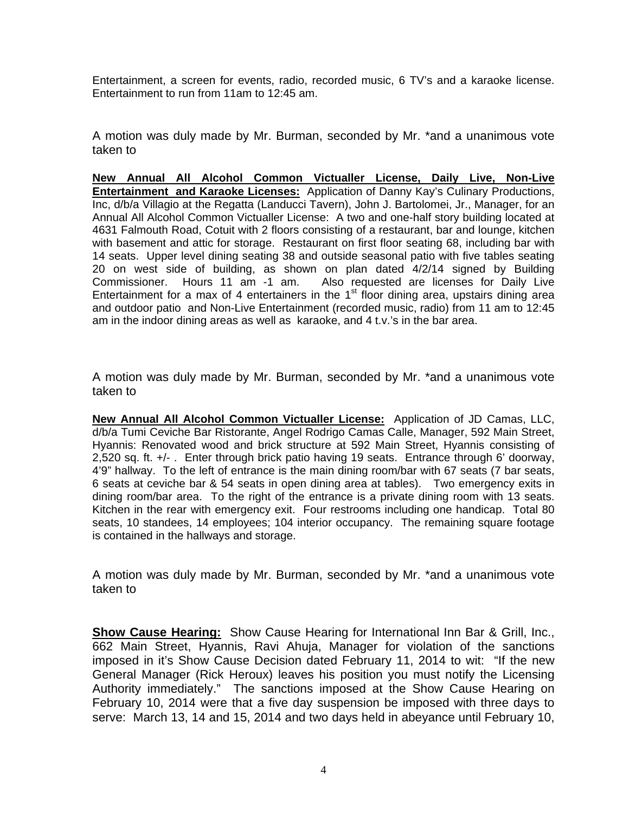Entertainment, a screen for events, radio, recorded music, 6 TV's and a karaoke license. Entertainment to run from 11am to 12:45 am.

A motion was duly made by Mr. Burman, seconded by Mr. \*and a unanimous vote taken to

**New Annual All Alcohol Common Victualler License, Daily Live, Non-Live Entertainment and Karaoke Licenses:** Application of Danny Kay's Culinary Productions, Inc, d/b/a Villagio at the Regatta (Landucci Tavern), John J. Bartolomei, Jr., Manager, for an Annual All Alcohol Common Victualler License: A two and one-half story building located at 4631 Falmouth Road, Cotuit with 2 floors consisting of a restaurant, bar and lounge, kitchen with basement and attic for storage. Restaurant on first floor seating 68, including bar with 14 seats. Upper level dining seating 38 and outside seasonal patio with five tables seating 20 on west side of building, as shown on plan dated 4/2/14 signed by Building<br>Commissioner. Hours 11 am -1 am. Also requested are licenses for Daily Live Also requested are licenses for Daily Live Entertainment for a max of 4 entertainers in the  $1<sup>st</sup>$  floor dining area, upstairs dining area and outdoor patio and Non-Live Entertainment (recorded music, radio) from 11 am to 12:45 am in the indoor dining areas as well as karaoke, and 4 t.v.'s in the bar area.

A motion was duly made by Mr. Burman, seconded by Mr. \*and a unanimous vote taken to

**New Annual All Alcohol Common Victualler License:** Application of JD Camas, LLC, d/b/a Tumi Ceviche Bar Ristorante, Angel Rodrigo Camas Calle, Manager, 592 Main Street, Hyannis: Renovated wood and brick structure at 592 Main Street, Hyannis consisting of 2,520 sq. ft. +/- . Enter through brick patio having 19 seats. Entrance through 6' doorway, 4'9" hallway. To the left of entrance is the main dining room/bar with 67 seats (7 bar seats, 6 seats at ceviche bar & 54 seats in open dining area at tables). Two emergency exits in dining room/bar area. To the right of the entrance is a private dining room with 13 seats. Kitchen in the rear with emergency exit. Four restrooms including one handicap. Total 80 seats, 10 standees, 14 employees; 104 interior occupancy. The remaining square footage is contained in the hallways and storage.

A motion was duly made by Mr. Burman, seconded by Mr. \*and a unanimous vote taken to

**Show Cause Hearing:** Show Cause Hearing for International Inn Bar & Grill, Inc., 662 Main Street, Hyannis, Ravi Ahuja, Manager for violation of the sanctions imposed in it's Show Cause Decision dated February 11, 2014 to wit: "If the new General Manager (Rick Heroux) leaves his position you must notify the Licensing Authority immediately." The sanctions imposed at the Show Cause Hearing on February 10, 2014 were that a five day suspension be imposed with three days to serve: March 13, 14 and 15, 2014 and two days held in abeyance until February 10,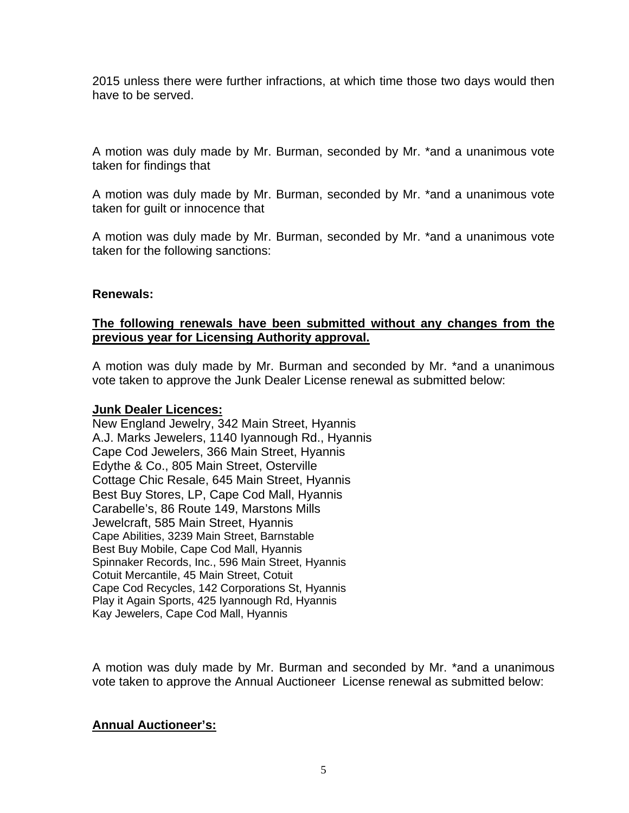2015 unless there were further infractions, at which time those two days would then have to be served.

A motion was duly made by Mr. Burman, seconded by Mr. \*and a unanimous vote taken for findings that

A motion was duly made by Mr. Burman, seconded by Mr. \*and a unanimous vote taken for guilt or innocence that

A motion was duly made by Mr. Burman, seconded by Mr. \*and a unanimous vote taken for the following sanctions:

#### **Renewals:**

# **The following renewals have been submitted without any changes from the previous year for Licensing Authority approval.**

A motion was duly made by Mr. Burman and seconded by Mr. \*and a unanimous vote taken to approve the Junk Dealer License renewal as submitted below:

#### **Junk Dealer Licences:**

New England Jewelry, 342 Main Street, Hyannis A.J. Marks Jewelers, 1140 Iyannough Rd., Hyannis Cape Cod Jewelers, 366 Main Street, Hyannis Edythe & Co., 805 Main Street, Osterville Cottage Chic Resale, 645 Main Street, Hyannis Best Buy Stores, LP, Cape Cod Mall, Hyannis Carabelle's, 86 Route 149, Marstons Mills Jewelcraft, 585 Main Street, Hyannis Cape Abilities, 3239 Main Street, Barnstable Best Buy Mobile, Cape Cod Mall, Hyannis Spinnaker Records, Inc., 596 Main Street, Hyannis Cotuit Mercantile, 45 Main Street, Cotuit Cape Cod Recycles, 142 Corporations St, Hyannis Play it Again Sports, 425 Iyannough Rd, Hyannis Kay Jewelers, Cape Cod Mall, Hyannis

A motion was duly made by Mr. Burman and seconded by Mr. \*and a unanimous vote taken to approve the Annual Auctioneer License renewal as submitted below:

# **Annual Auctioneer's:**